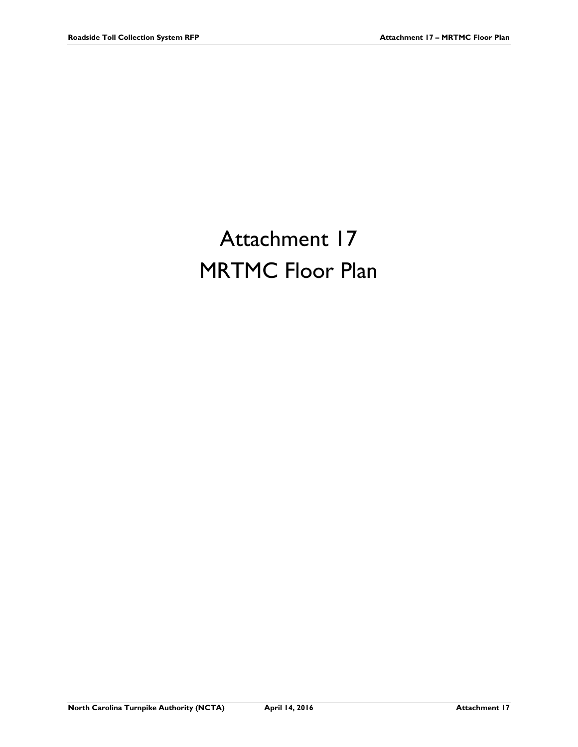## Attachment 17 **MRTMC Floor Plan**